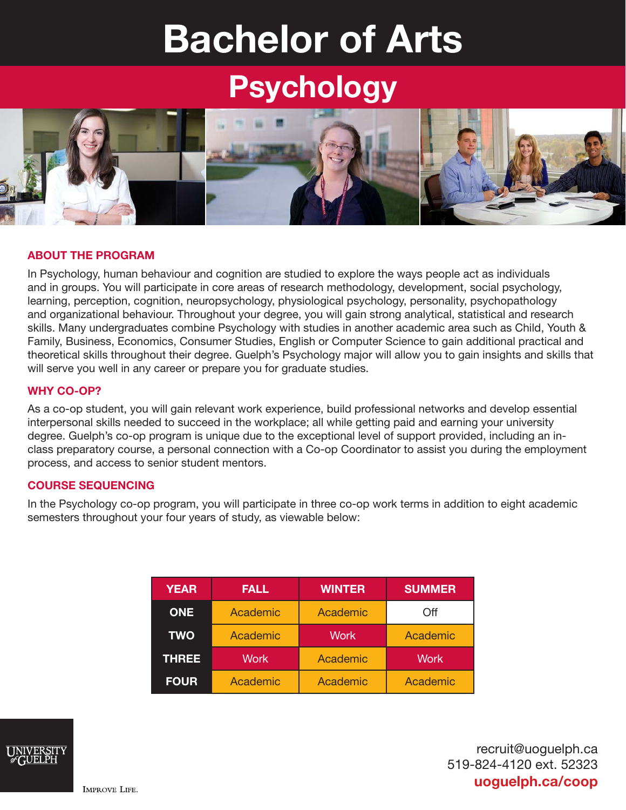# Bachelor of Arts

## Psychology



#### ABOUT THE PROGRAM

In Psychology, human behaviour and cognition are studied to explore the ways people act as individuals and in groups. You will participate in core areas of research methodology, development, social psychology, learning, perception, cognition, neuropsychology, physiological psychology, personality, psychopathology and organizational behaviour. Throughout your degree, you will gain strong analytical, statistical and research skills. Many undergraduates combine Psychology with studies in another academic area such as Child, Youth & Family, Business, Economics, Consumer Studies, English or Computer Science to gain additional practical and theoretical skills throughout their degree. Guelph's Psychology major will allow you to gain insights and skills that will serve you well in any career or prepare you for graduate studies.

#### WHY CO-OP?

As a co-op student, you will gain relevant work experience, build professional networks and develop essential interpersonal skills needed to succeed in the workplace; all while getting paid and earning your university degree. Guelph's co-op program is unique due to the exceptional level of support provided, including an inclass preparatory course, a personal connection with a Co-op Coordinator to assist you during the employment process, and access to senior student mentors.

#### COURSE SEQUENCING

In the Psychology co-op program, you will participate in three co-op work terms in addition to eight academic semesters throughout your four years of study, as viewable below:

| <b>YEAR</b>  | <b>FALL</b> | <b>WINTER</b> | <b>SUMMER</b> |
|--------------|-------------|---------------|---------------|
| <b>ONE</b>   | Academic    | Academic      | Off           |
| <b>TWO</b>   | Academic    | <b>Work</b>   | Academic      |
| <b>THREE</b> | <b>Work</b> | Academic      | <b>Work</b>   |
| <b>FOUR</b>  | Academic    | Academic      | Academic      |



recruit@uoguelph.ca 519-824-4120 ext. 52323 uoguelph.ca/coop